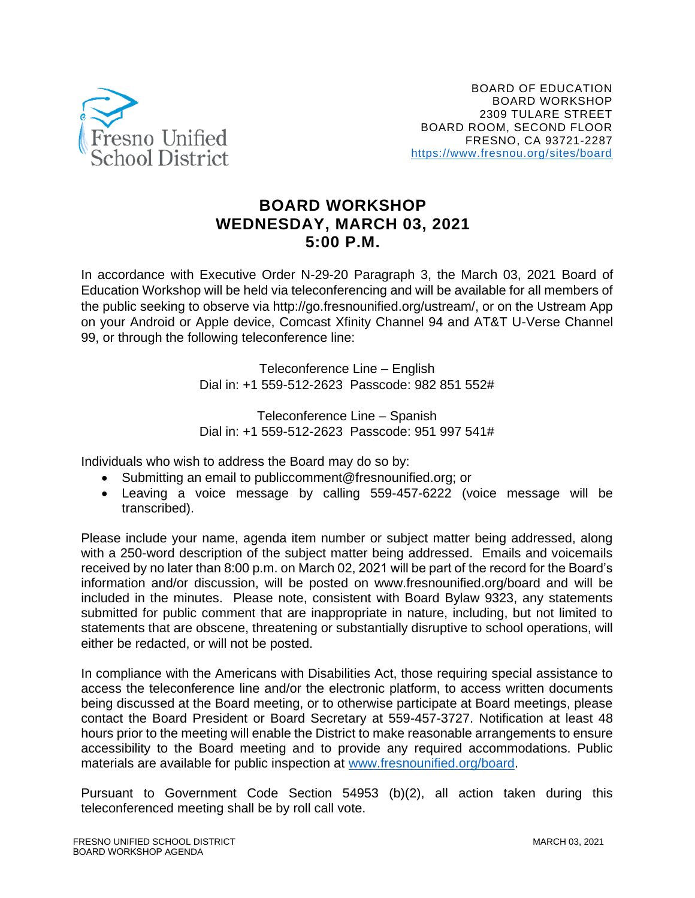

## **BOARD WORKSHOP WEDNESDAY, MARCH 03, 2021 5:00 P.M.**

In accordance with Executive Order N-29-20 Paragraph 3, the March 03, 2021 Board of Education Workshop will be held via teleconferencing and will be available for all members of the public seeking to observe via http://go.fresnounified.org/ustream/, or on the Ustream App on your Android or Apple device, Comcast Xfinity Channel 94 and AT&T U-Verse Channel 99, or through the following teleconference line:

> Teleconference Line – English Dial in: +1 559-512-2623 Passcode: 982 851 552#

> Teleconference Line – Spanish Dial in: +1 559-512-2623 Passcode: 951 997 541#

Individuals who wish to address the Board may do so by:

- Submitting an email to publiccomment@fresnounified.org; or
- Leaving a voice message by calling 559-457-6222 (voice message will be transcribed).

Please include your name, agenda item number or subject matter being addressed, along with a 250-word description of the subject matter being addressed. Emails and voicemails received by no later than 8:00 p.m. on March 02, 2021 will be part of the record for the Board's information and/or discussion, will be posted on www.fresnounified.org/board and will be included in the minutes. Please note, consistent with Board Bylaw 9323, any statements submitted for public comment that are inappropriate in nature, including, but not limited to statements that are obscene, threatening or substantially disruptive to school operations, will either be redacted, or will not be posted.

In compliance with the Americans with Disabilities Act, those requiring special assistance to access the teleconference line and/or the electronic platform, to access written documents being discussed at the Board meeting, or to otherwise participate at Board meetings, please contact the Board President or Board Secretary at 559-457-3727. Notification at least 48 hours prior to the meeting will enable the District to make reasonable arrangements to ensure accessibility to the Board meeting and to provide any required accommodations. Public materials are available for public inspection at [www.fresnounified.org/board.](http://www.fresnounified.org/board)

Pursuant to Government Code Section 54953 (b)(2), all action taken during this teleconferenced meeting shall be by roll call vote.